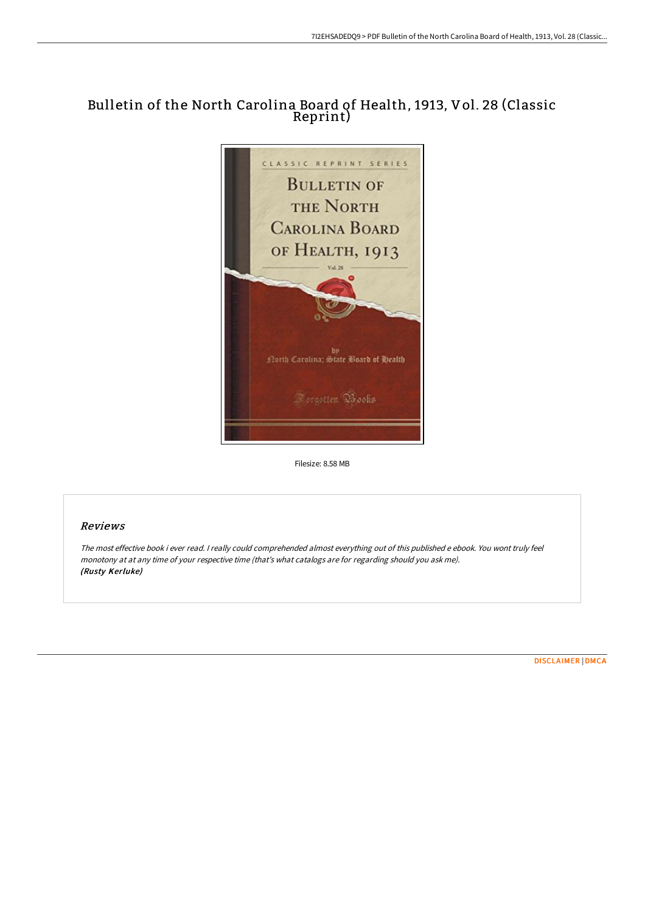# Bulletin of the North Carolina Board of Health, 1913, Vol. 28 (Classic Reprint)



Filesize: 8.58 MB

## Reviews

The most effective book i ever read. <sup>I</sup> really could comprehended almost everything out of this published <sup>e</sup> ebook. You wont truly feel monotony at at any time of your respective time (that's what catalogs are for regarding should you ask me). (Rusty Kerluke)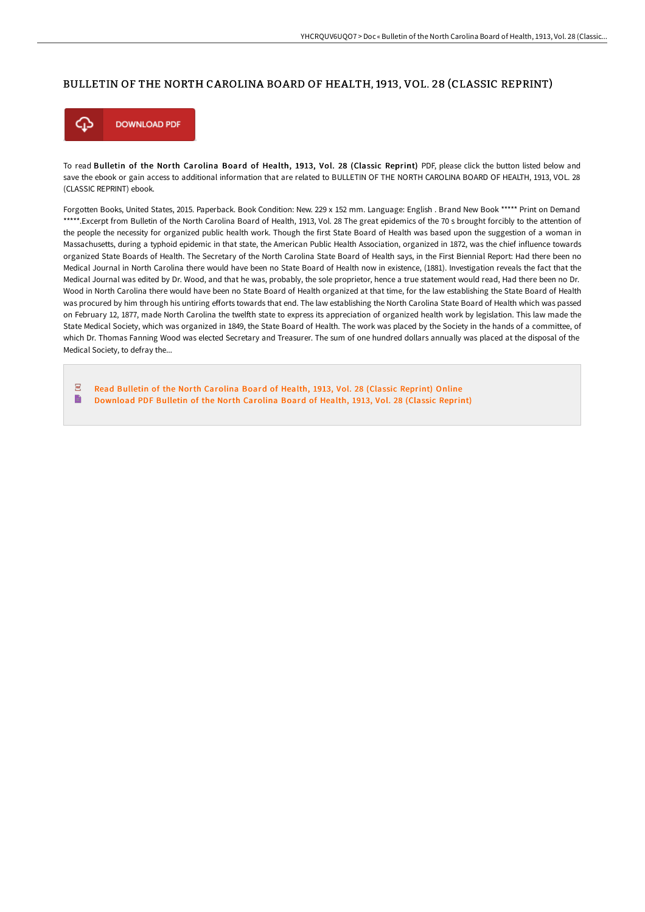#### BULLETIN OF THE NORTH CAROLINA BOARD OF HEALTH, 1913, VOL. 28 (CLASSIC REPRINT)



To read Bulletin of the North Carolina Board of Health, 1913, Vol. 28 (Classic Reprint) PDF, please click the button listed below and save the ebook or gain access to additional information that are related to BULLETIN OF THE NORTH CAROLINA BOARD OF HEALTH, 1913, VOL. 28 (CLASSIC REPRINT) ebook.

Forgotten Books, United States, 2015. Paperback. Book Condition: New. 229 x 152 mm. Language: English . Brand New Book \*\*\*\*\* Print on Demand \*\*\*\*\*.Excerpt from Bulletin of the North Carolina Board of Health, 1913, Vol. 28 The great epidemics of the 70 s brought forcibly to the attention of the people the necessity for organized public health work. Though the first State Board of Health was based upon the suggestion of a woman in Massachusetts, during a typhoid epidemic in that state, the American Public Health Association, organized in 1872, was the chief influence towards organized State Boards of Health. The Secretary of the North Carolina State Board of Health says, in the First Biennial Report: Had there been no Medical Journal in North Carolina there would have been no State Board of Health now in existence, (1881). Investigation reveals the fact that the Medical Journal was edited by Dr. Wood, and that he was, probably, the sole proprietor, hence a true statement would read, Had there been no Dr. Wood in North Carolina there would have been no State Board of Health organized at that time, for the law establishing the State Board of Health was procured by him through his untiring efforts towards that end. The law establishing the North Carolina State Board of Health which was passed on February 12, 1877, made North Carolina the twelfth state to express its appreciation of organized health work by legislation. This law made the State Medical Society, which was organized in 1849, the State Board of Health. The work was placed by the Society in the hands of a committee, of which Dr. Thomas Fanning Wood was elected Secretary and Treasurer. The sum of one hundred dollars annually was placed at the disposal of the Medical Society, to defray the...

 $\overline{p}$ Read Bulletin of the North [Carolina](http://albedo.media/bulletin-of-the-north-carolina-board-of-health-1.html) Board of Health, 1913, Vol. 28 (Classic Reprint) Online B [Download](http://albedo.media/bulletin-of-the-north-carolina-board-of-health-1.html) PDF Bulletin of the North Carolina Board of Health, 1913, Vol. 28 (Classic Reprint)